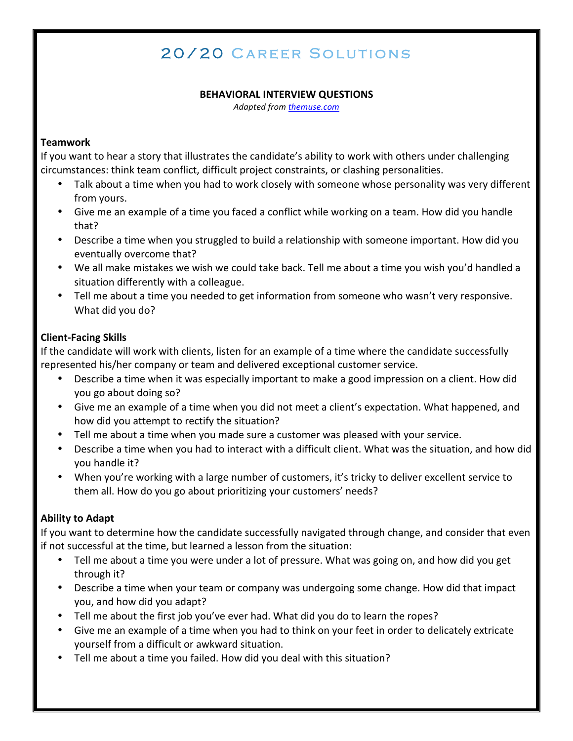# 20/20 C areer Solutions

#### **BEHAVIORAL INTERVIEW QUESTIONS**

*Adapted from themuse.com*

#### **Teamwork**

If you want to hear a story that illustrates the candidate's ability to work with others under challenging circumstances: think team conflict, difficult project constraints, or clashing personalities.

- Talk about a time when you had to work closely with someone whose personality was very different from yours.
- Give me an example of a time you faced a conflict while working on a team. How did you handle that?
- Describe a time when you struggled to build a relationship with someone important. How did you eventually overcome that?
- We all make mistakes we wish we could take back. Tell me about a time you wish you'd handled a situation differently with a colleague.
- Tell me about a time you needed to get information from someone who wasn't very responsive. What did you do?

# **Client-Facing Skills**

If the candidate will work with clients, listen for an example of a time where the candidate successfully represented his/her company or team and delivered exceptional customer service.

- Describe a time when it was especially important to make a good impression on a client. How did you go about doing so?
- Give me an example of a time when you did not meet a client's expectation. What happened, and how did you attempt to rectify the situation?
- Tell me about a time when you made sure a customer was pleased with your service.
- Describe a time when you had to interact with a difficult client. What was the situation, and how did you handle it?
- When you're working with a large number of customers, it's tricky to deliver excellent service to them all. How do you go about prioritizing your customers' needs?

## **Ability to Adapt**

If you want to determine how the candidate successfully navigated through change, and consider that even if not successful at the time, but learned a lesson from the situation:

- Tell me about a time you were under a lot of pressure. What was going on, and how did you get through it?
- Describe a time when your team or company was undergoing some change. How did that impact you, and how did you adapt?
- Tell me about the first job you've ever had. What did you do to learn the ropes?
- Give me an example of a time when you had to think on your feet in order to delicately extricate yourself from a difficult or awkward situation.
- Tell me about a time you failed. How did you deal with this situation?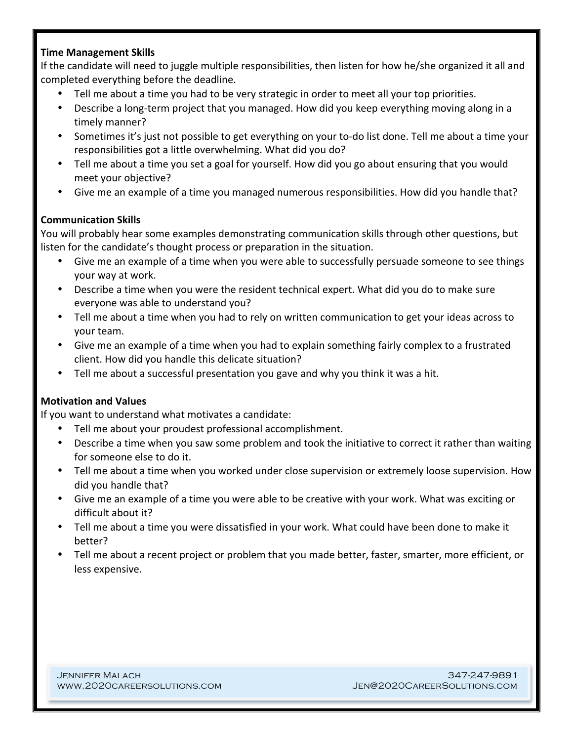#### **Time Management Skills**

If the candidate will need to juggle multiple responsibilities, then listen for how he/she organized it all and completed everything before the deadline.

- Tell me about a time you had to be very strategic in order to meet all your top priorities.
- Describe a long-term project that you managed. How did you keep everything moving along in a timely manner?
- Sometimes it's just not possible to get everything on your to-do list done. Tell me about a time your responsibilities got a little overwhelming. What did you do?
- Tell me about a time you set a goal for yourself. How did you go about ensuring that you would meet your objective?
- Give me an example of a time you managed numerous responsibilities. How did you handle that?

## **Communication Skills**

You will probably hear some examples demonstrating communication skills through other questions, but listen for the candidate's thought process or preparation in the situation.

- Give me an example of a time when you were able to successfully persuade someone to see things your way at work.
- Describe a time when you were the resident technical expert. What did you do to make sure everyone was able to understand you?
- Tell me about a time when you had to rely on written communication to get your ideas across to your team.
- Give me an example of a time when you had to explain something fairly complex to a frustrated client. How did you handle this delicate situation?
- Tell me about a successful presentation you gave and why you think it was a hit.

## **Motivation and Values**

If you want to understand what motivates a candidate:

- Tell me about your proudest professional accomplishment.
- Describe a time when you saw some problem and took the initiative to correct it rather than waiting for someone else to do it.
- Tell me about a time when you worked under close supervision or extremely loose supervision. How did you handle that?
- Give me an example of a time you were able to be creative with your work. What was exciting or difficult about it?
- Tell me about a time you were dissatisfied in your work. What could have been done to make it better?
- Tell me about a recent project or problem that you made better, faster, smarter, more efficient, or less expensive.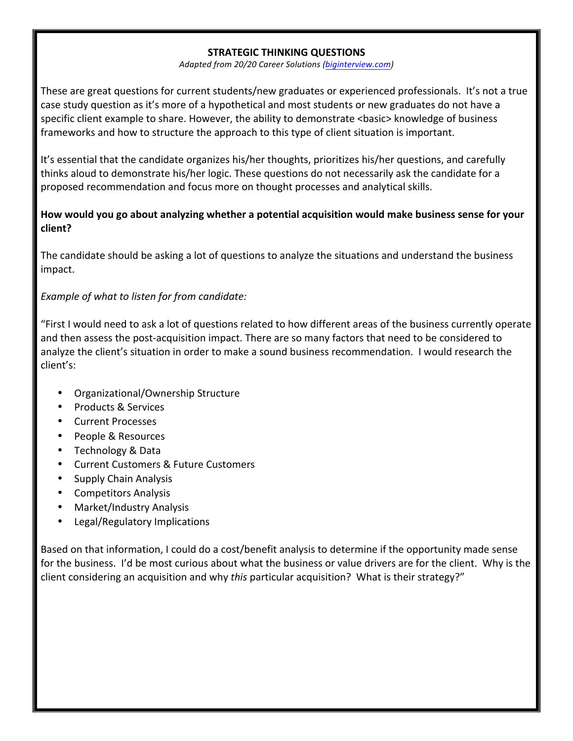#### **STRATEGIC THINKING QUESTIONS**

*Adapted from 20/20 Career Solutions (biginterview.com)*

These are great questions for current students/new graduates or experienced professionals. It's not a true case study question as it's more of a hypothetical and most students or new graduates do not have a specific client example to share. However, the ability to demonstrate <basic> knowledge of business frameworks and how to structure the approach to this type of client situation is important.

It's essential that the candidate organizes his/her thoughts, prioritizes his/her questions, and carefully thinks aloud to demonstrate his/her logic. These questions do not necessarily ask the candidate for a proposed recommendation and focus more on thought processes and analytical skills.

## **How would you go about analyzing whether a potential acquisition would make business sense for your client?**

The candidate should be asking a lot of questions to analyze the situations and understand the business impact. 

## *Example of what to listen for from candidate:*

"First I would need to ask a lot of questions related to how different areas of the business currently operate and then assess the post-acquisition impact. There are so many factors that need to be considered to analyze the client's situation in order to make a sound business recommendation. I would research the client's: 

- Organizational/Ownership Structure
- Products & Services
- Current Processes
- People & Resources
- Technology & Data
- **Current Customers & Future Customers**
- Supply Chain Analysis
- Competitors Analysis
- Market/Industry Analysis
- Legal/Regulatory Implications

Based on that information, I could do a cost/benefit analysis to determine if the opportunity made sense for the business. I'd be most curious about what the business or value drivers are for the client. Why is the client considering an acquisition and why *this* particular acquisition? What is their strategy?"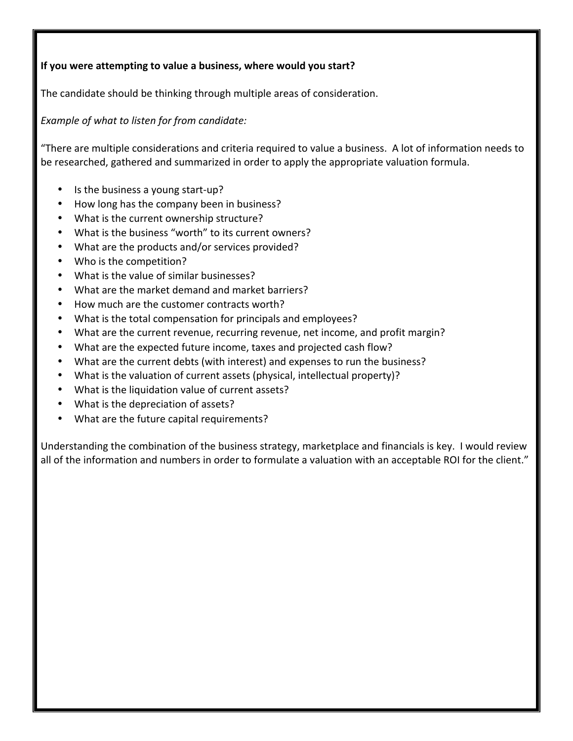## **If you were attempting to value a business, where would you start?**

The candidate should be thinking through multiple areas of consideration.

*Example of what to listen for from candidate:*

"There are multiple considerations and criteria required to value a business. A lot of information needs to be researched, gathered and summarized in order to apply the appropriate valuation formula.

- Is the business a young start-up?
- How long has the company been in business?
- What is the current ownership structure?
- What is the business "worth" to its current owners?
- What are the products and/or services provided?
- Who is the competition?
- What is the value of similar businesses?
- What are the market demand and market barriers?
- How much are the customer contracts worth?
- What is the total compensation for principals and employees?
- What are the current revenue, recurring revenue, net income, and profit margin?
- What are the expected future income, taxes and projected cash flow?
- What are the current debts (with interest) and expenses to run the business?
- What is the valuation of current assets (physical, intellectual property)?
- What is the liquidation value of current assets?
- What is the depreciation of assets?
- What are the future capital requirements?

Understanding the combination of the business strategy, marketplace and financials is key. I would review all of the information and numbers in order to formulate a valuation with an acceptable ROI for the client."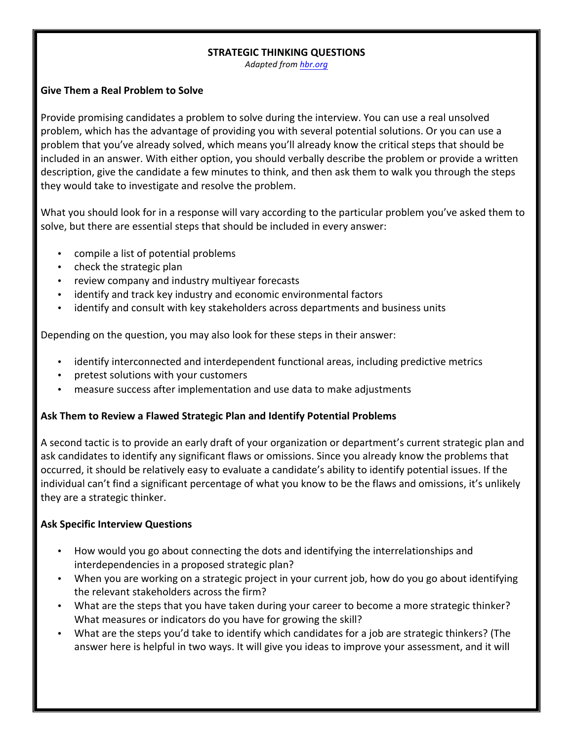#### **STRATEGIC THINKING QUESTIONS**

*Adapted from hbr.org*

#### Give Them a Real Problem to Solve

Provide promising candidates a problem to solve during the interview. You can use a real unsolved problem, which has the advantage of providing you with several potential solutions. Or you can use a problem that you've already solved, which means you'll already know the critical steps that should be included in an answer. With either option, you should verbally describe the problem or provide a written description, give the candidate a few minutes to think, and then ask them to walk you through the steps they would take to investigate and resolve the problem.

What you should look for in a response will vary according to the particular problem you've asked them to solve, but there are essential steps that should be included in every answer:

- compile a list of potential problems
- check the strategic plan
- review company and industry multiyear forecasts
- identify and track key industry and economic environmental factors
- identify and consult with key stakeholders across departments and business units

Depending on the question, you may also look for these steps in their answer:

- identify interconnected and interdependent functional areas, including predictive metrics
- pretest solutions with your customers
- measure success after implementation and use data to make adjustments

## Ask Them to Review a Flawed Strategic Plan and Identify Potential Problems

A second tactic is to provide an early draft of your organization or department's current strategic plan and ask candidates to identify any significant flaws or omissions. Since you already know the problems that occurred, it should be relatively easy to evaluate a candidate's ability to identify potential issues. If the individual can't find a significant percentage of what you know to be the flaws and omissions, it's unlikely they are a strategic thinker.

## **Ask Specific Interview Questions**

- How would you go about connecting the dots and identifying the interrelationships and interdependencies in a proposed strategic plan?
- When you are working on a strategic project in your current job, how do you go about identifying the relevant stakeholders across the firm?
- What are the steps that you have taken during your career to become a more strategic thinker? What measures or indicators do you have for growing the skill?
- What are the steps you'd take to identify which candidates for a job are strategic thinkers? (The answer here is helpful in two ways. It will give you ideas to improve your assessment, and it will